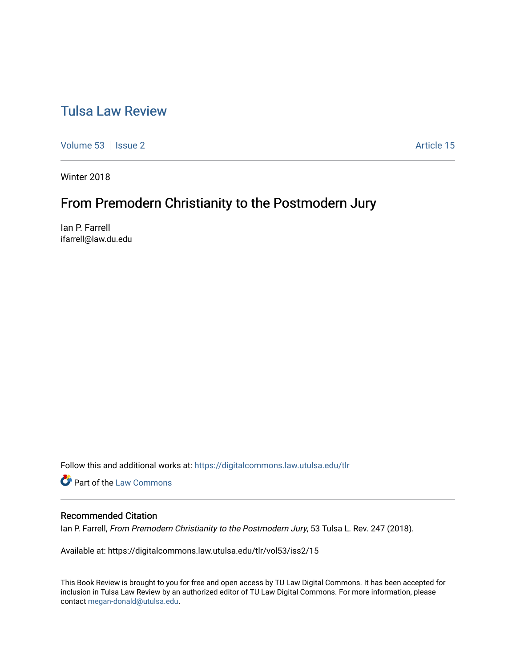# [Tulsa Law Review](https://digitalcommons.law.utulsa.edu/tlr)

[Volume 53](https://digitalcommons.law.utulsa.edu/tlr/vol53) | [Issue 2](https://digitalcommons.law.utulsa.edu/tlr/vol53/iss2) Article 15

Winter 2018

# From Premodern Christianity to the Postmodern Jury

Ian P. Farrell ifarrell@law.du.edu

Follow this and additional works at: [https://digitalcommons.law.utulsa.edu/tlr](https://digitalcommons.law.utulsa.edu/tlr?utm_source=digitalcommons.law.utulsa.edu%2Ftlr%2Fvol53%2Fiss2%2F15&utm_medium=PDF&utm_campaign=PDFCoverPages) 

**Part of the [Law Commons](http://network.bepress.com/hgg/discipline/578?utm_source=digitalcommons.law.utulsa.edu%2Ftlr%2Fvol53%2Fiss2%2F15&utm_medium=PDF&utm_campaign=PDFCoverPages)** 

## Recommended Citation

Ian P. Farrell, From Premodern Christianity to the Postmodern Jury, 53 Tulsa L. Rev. 247 (2018).

Available at: https://digitalcommons.law.utulsa.edu/tlr/vol53/iss2/15

This Book Review is brought to you for free and open access by TU Law Digital Commons. It has been accepted for inclusion in Tulsa Law Review by an authorized editor of TU Law Digital Commons. For more information, please contact [megan-donald@utulsa.edu.](mailto:megan-donald@utulsa.edu)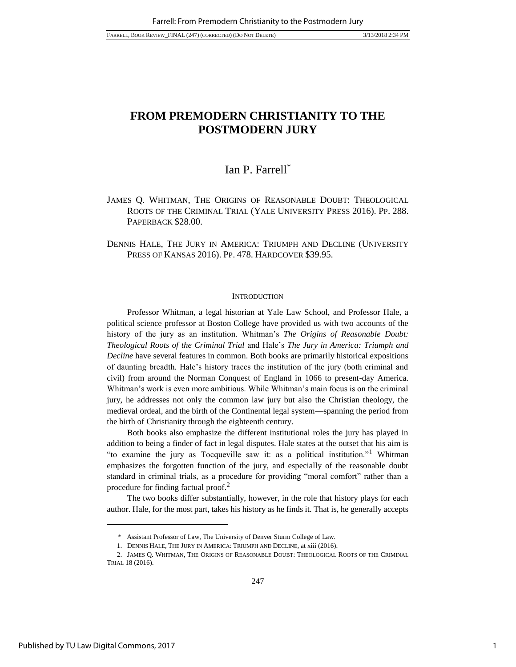## Ian P. Farrell\*

JAMES Q. WHITMAN, THE ORIGINS OF REASONABLE DOUBT: THEOLOGICAL ROOTS OF THE CRIMINAL TRIAL (YALE UNIVERSITY PRESS 2016). PP. 288. PAPERBACK \$28.00.

DENNIS HALE, THE JURY IN AMERICA: TRIUMPH AND DECLINE (UNIVERSITY PRESS OF KANSAS 2016). PP. 478. HARDCOVER \$39.95.

#### **INTRODUCTION**

Professor Whitman, a legal historian at Yale Law School, and Professor Hale, a political science professor at Boston College have provided us with two accounts of the history of the jury as an institution. Whitman's *The Origins of Reasonable Doubt: Theological Roots of the Criminal Trial* and Hale's *The Jury in America: Triumph and Decline* have several features in common. Both books are primarily historical expositions of daunting breadth. Hale's history traces the institution of the jury (both criminal and civil) from around the Norman Conquest of England in 1066 to present-day America. Whitman's work is even more ambitious. While Whitman's main focus is on the criminal jury, he addresses not only the common law jury but also the Christian theology, the medieval ordeal, and the birth of the Continental legal system—spanning the period from the birth of Christianity through the eighteenth century.

Both books also emphasize the different institutional roles the jury has played in addition to being a finder of fact in legal disputes. Hale states at the outset that his aim is "to examine the jury as Tocqueville saw it: as a political institution."<sup>1</sup> Whitman emphasizes the forgotten function of the jury, and especially of the reasonable doubt standard in criminal trials, as a procedure for providing "moral comfort" rather than a procedure for finding factual proof.<sup>2</sup>

The two books differ substantially, however, in the role that history plays for each author. Hale, for the most part, takes his history as he finds it. That is, he generally accepts

\* Assistant Professor of Law, The University of Denver Sturm College of Law.

<sup>1.</sup> DENNIS HALE, THE JURY IN AMERICA: TRIUMPH AND DECLINE, at xiii (2016).

<sup>2.</sup> JAMES Q. WHITMAN, THE ORIGINS OF REASONABLE DOUBT: THEOLOGICAL ROOTS OF THE CRIMINAL TRIAL 18 (2016).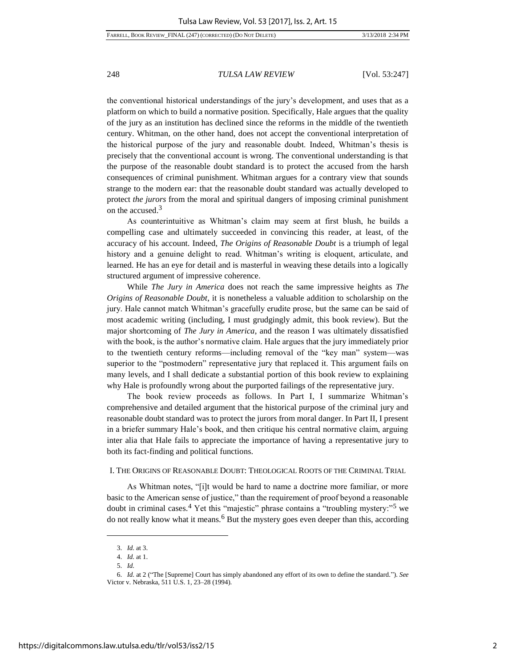the conventional historical understandings of the jury's development, and uses that as a platform on which to build a normative position. Specifically, Hale argues that the quality of the jury as an institution has declined since the reforms in the middle of the twentieth century. Whitman, on the other hand, does not accept the conventional interpretation of the historical purpose of the jury and reasonable doubt. Indeed, Whitman's thesis is precisely that the conventional account is wrong. The conventional understanding is that the purpose of the reasonable doubt standard is to protect the accused from the harsh consequences of criminal punishment. Whitman argues for a contrary view that sounds strange to the modern ear: that the reasonable doubt standard was actually developed to protect *the jurors* from the moral and spiritual dangers of imposing criminal punishment on the accused.<sup>3</sup>

As counterintuitive as Whitman's claim may seem at first blush, he builds a compelling case and ultimately succeeded in convincing this reader, at least, of the accuracy of his account. Indeed, *The Origins of Reasonable Doubt* is a triumph of legal history and a genuine delight to read. Whitman's writing is eloquent, articulate, and learned. He has an eye for detail and is masterful in weaving these details into a logically structured argument of impressive coherence.

While *The Jury in America* does not reach the same impressive heights as *The Origins of Reasonable Doubt*, it is nonetheless a valuable addition to scholarship on the jury. Hale cannot match Whitman's gracefully erudite prose, but the same can be said of most academic writing (including, I must grudgingly admit, this book review). But the major shortcoming of *The Jury in America*, and the reason I was ultimately dissatisfied with the book, is the author's normative claim. Hale argues that the jury immediately prior to the twentieth century reforms—including removal of the "key man" system—was superior to the "postmodern" representative jury that replaced it. This argument fails on many levels, and I shall dedicate a substantial portion of this book review to explaining why Hale is profoundly wrong about the purported failings of the representative jury.

The book review proceeds as follows. In Part I, I summarize Whitman's comprehensive and detailed argument that the historical purpose of the criminal jury and reasonable doubt standard was to protect the jurors from moral danger. In Part II, I present in a briefer summary Hale's book, and then critique his central normative claim, arguing inter alia that Hale fails to appreciate the importance of having a representative jury to both its fact-finding and political functions.

#### I. THE ORIGINS OF REASONABLE DOUBT: THEOLOGICAL ROOTS OF THE CRIMINAL TRIAL

As Whitman notes, "[i]t would be hard to name a doctrine more familiar, or more basic to the American sense of justice," than the requirement of proof beyond a reasonable doubt in criminal cases.<sup>4</sup> Yet this "majestic" phrase contains a "troubling mystery:"<sup>5</sup> we do not really know what it means.<sup>6</sup> But the mystery goes even deeper than this, according

<sup>3.</sup> *Id.* at 3.

<sup>4.</sup> *Id.* at 1.

<sup>5.</sup> *Id.*

<sup>6.</sup> *Id.* at 2 ("The [Supreme] Court has simply abandoned any effort of its own to define the standard."). *See* Victor v. Nebraska, 511 U.S. 1, 23–28 (1994).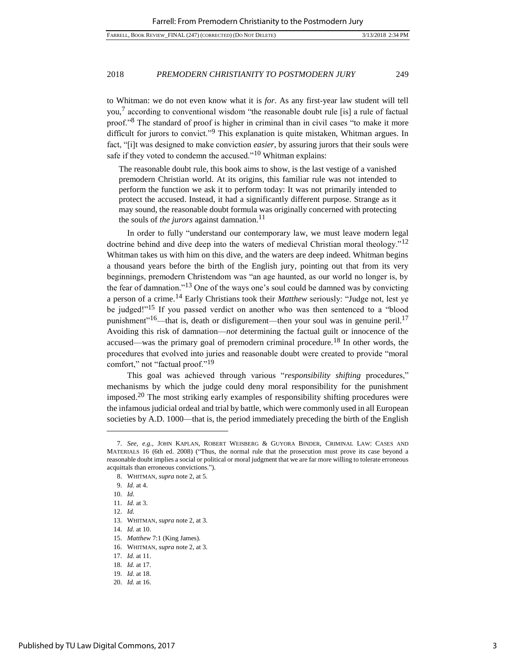to Whitman: we do not even know what it is *for*. As any first-year law student will tell you,<sup>7</sup> according to conventional wisdom "the reasonable doubt rule [is] a rule of factual proof."<sup>8</sup> The standard of proof is higher in criminal than in civil cases "to make it more difficult for jurors to convict."<sup>9</sup> This explanation is quite mistaken, Whitman argues. In fact, "[i]t was designed to make conviction *easier*, by assuring jurors that their souls were safe if they voted to condemn the accused."<sup>10</sup> Whitman explains:

The reasonable doubt rule, this book aims to show, is the last vestige of a vanished premodern Christian world. At its origins, this familiar rule was not intended to perform the function we ask it to perform today: It was not primarily intended to protect the accused. Instead, it had a significantly different purpose. Strange as it may sound, the reasonable doubt formula was originally concerned with protecting the souls of *the jurors* against damnation.<sup>11</sup>

In order to fully "understand our contemporary law, we must leave modern legal doctrine behind and dive deep into the waters of medieval Christian moral theology."<sup>12</sup> Whitman takes us with him on this dive, and the waters are deep indeed. Whitman begins a thousand years before the birth of the English jury, pointing out that from its very beginnings, premodern Christendom was "an age haunted, as our world no longer is, by the fear of damnation."<sup>13</sup> One of the ways one's soul could be damned was by convicting a person of a crime.<sup>14</sup> Early Christians took their *Matthew* seriously: "Judge not, lest ye be judged!"<sup>15</sup> If you passed verdict on another who was then sentenced to a "blood punishment"<sup>16</sup>—that is, death or disfigurement—then your soul was in genuine peril.<sup>17</sup> Avoiding this risk of damnation—*not* determining the factual guilt or innocence of the accused—was the primary goal of premodern criminal procedure.<sup>18</sup> In other words, the procedures that evolved into juries and reasonable doubt were created to provide "moral comfort," not "factual proof."<sup>19</sup>

This goal was achieved through various "*responsibility shifting* procedures," mechanisms by which the judge could deny moral responsibility for the punishment imposed.<sup>20</sup> The most striking early examples of responsibility shifting procedures were the infamous judicial ordeal and trial by battle, which were commonly used in all European societies by A.D. 1000—that is, the period immediately preceding the birth of the English

<sup>7.</sup> *See, e.g.*, JOHN KAPLAN, ROBERT WEISBERG & GUYORA BINDER, CRIMINAL LAW: CASES AND MATERIALS 16 (6th ed. 2008) ("Thus, the normal rule that the prosecution must prove its case beyond a reasonable doubt implies a social or political or moral judgment that we are far more willing to tolerate erroneous acquittals than erroneous convictions.").

<sup>8.</sup> WHITMAN, *supra* note 2, at 5.

<sup>9.</sup> *Id.* at 4.

<sup>10.</sup> *Id.*

<sup>11.</sup> *Id.* at 3.

<sup>12.</sup> *Id.*

<sup>13.</sup> WHITMAN, *supra* note 2, at 3.

<sup>14.</sup> *Id.* at 10.

<sup>15.</sup> *Matthew* 7:1 (King James).

<sup>16.</sup> WHITMAN, *supra* note 2, at 3.

<sup>17.</sup> *Id.* at 11.

<sup>18.</sup> *Id.* at 17.

<sup>19.</sup> *Id.* at 18.

<sup>20.</sup> *Id.* at 16.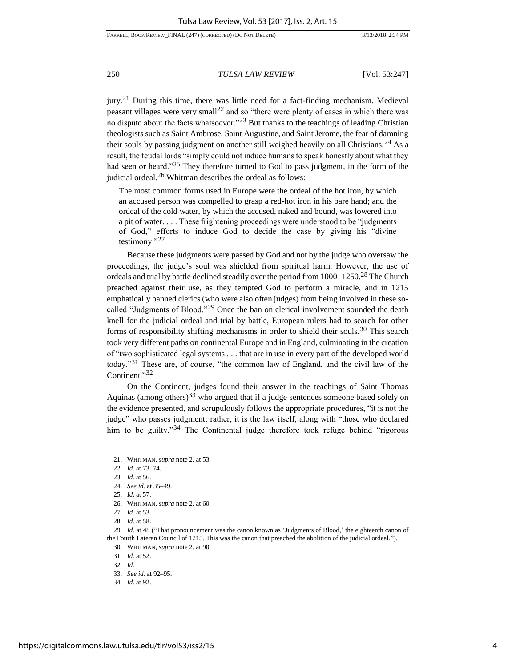jury.<sup>21</sup> During this time, there was little need for a fact-finding mechanism. Medieval peasant villages were very small<sup>22</sup> and so "there were plenty of cases in which there was no dispute about the facts whatsoever."<sup>23</sup> But thanks to the teachings of leading Christian theologists such as Saint Ambrose, Saint Augustine, and Saint Jerome, the fear of damning their souls by passing judgment on another still weighed heavily on all Christians.<sup>24</sup> As a result, the feudal lords "simply could not induce humans to speak honestly about what they had seen or heard."<sup>25</sup> They therefore turned to God to pass judgment, in the form of the judicial ordeal.<sup>26</sup> Whitman describes the ordeal as follows:

The most common forms used in Europe were the ordeal of the hot iron, by which an accused person was compelled to grasp a red-hot iron in his bare hand; and the ordeal of the cold water, by which the accused, naked and bound, was lowered into a pit of water. . . . These frightening proceedings were understood to be "judgments of God," efforts to induce God to decide the case by giving his "divine testimony."<sup>27</sup>

Because these judgments were passed by God and not by the judge who oversaw the proceedings, the judge's soul was shielded from spiritual harm. However, the use of ordeals and trial by battle declined steadily over the period from  $1000-1250$ .<sup>28</sup> The Church preached against their use, as they tempted God to perform a miracle, and in 1215 emphatically banned clerics (who were also often judges) from being involved in these socalled "Judgments of Blood."<sup>29</sup> Once the ban on clerical involvement sounded the death knell for the judicial ordeal and trial by battle, European rulers had to search for other forms of responsibility shifting mechanisms in order to shield their souls.<sup>30</sup> This search took very different paths on continental Europe and in England, culminating in the creation of "two sophisticated legal systems . . . that are in use in every part of the developed world today."<sup>31</sup> These are, of course, "the common law of England, and the civil law of the Continent."<sup>32</sup>

On the Continent, judges found their answer in the teachings of Saint Thomas Aquinas (among others)<sup>33</sup> who argued that if a judge sentences someone based solely on the evidence presented, and scrupulously follows the appropriate procedures, "it is not the judge" who passes judgment; rather, it is the law itself, along with "those who declared him to be guilty."<sup>34</sup> The Continental judge therefore took refuge behind "rigorous"

<sup>21.</sup> WHITMAN, *supra* note 2, at 53.

<sup>22.</sup> *Id.* at 73–74.

<sup>23.</sup> *Id.* at 56.

<sup>24.</sup> *See id.* at 35–49.

<sup>25.</sup> *Id.* at 57.

<sup>26.</sup> WHITMAN, *supra* note 2, at 60.

<sup>27.</sup> *Id.* at 53.

<sup>28.</sup> *Id.* at 58.

<sup>29.</sup> *Id.* at 48 ("That pronouncement was the canon known as 'Judgments of Blood,' the eighteenth canon of the Fourth Lateran Council of 1215. This was the canon that preached the abolition of the judicial ordeal.").

<sup>30.</sup> WHITMAN, *supra* note 2, at 90.

<sup>31.</sup> *Id.* at 52.

<sup>32.</sup> *Id.*

<sup>33.</sup> *See id.* at 92–95.

<sup>34.</sup> *Id.* at 92.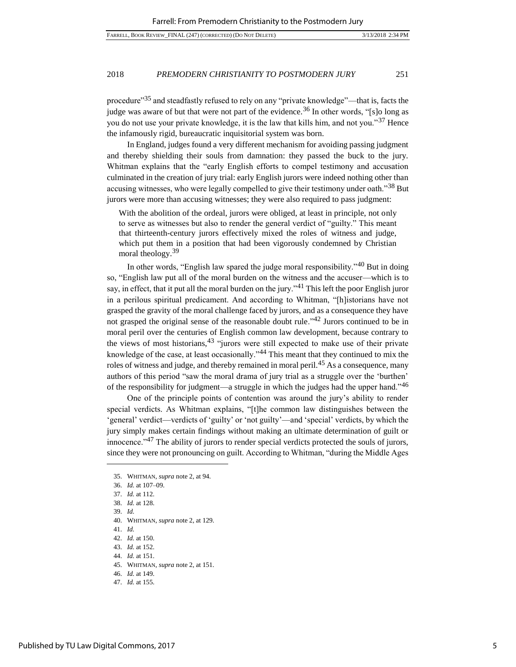procedure"<sup>35</sup> and steadfastly refused to rely on any "private knowledge"—that is, facts the judge was aware of but that were not part of the evidence.<sup>36</sup> In other words, "[s]o long as you do not use your private knowledge, it is the law that kills him, and not you."<sup>37</sup> Hence the infamously rigid, bureaucratic inquisitorial system was born.

In England, judges found a very different mechanism for avoiding passing judgment and thereby shielding their souls from damnation: they passed the buck to the jury. Whitman explains that the "early English efforts to compel testimony and accusation culminated in the creation of jury trial: early English jurors were indeed nothing other than accusing witnesses, who were legally compelled to give their testimony under oath."<sup>38</sup> But jurors were more than accusing witnesses; they were also required to pass judgment:

With the abolition of the ordeal, jurors were obliged, at least in principle, not only to serve as witnesses but also to render the general verdict of "guilty." This meant that thirteenth-century jurors effectively mixed the roles of witness and judge, which put them in a position that had been vigorously condemned by Christian moral theology.<sup>39</sup>

In other words, "English law spared the judge moral responsibility."<sup>40</sup> But in doing so, "English law put all of the moral burden on the witness and the accuser—which is to say, in effect, that it put all the moral burden on the jury.<sup> $34$ </sup> This left the poor English juror in a perilous spiritual predicament. And according to Whitman, "[h]istorians have not grasped the gravity of the moral challenge faced by jurors, and as a consequence they have not grasped the original sense of the reasonable doubt rule."<sup>42</sup> Jurors continued to be in moral peril over the centuries of English common law development, because contrary to the views of most historians,  $43$  "jurors were still expected to make use of their private knowledge of the case, at least occasionally."<sup>44</sup> This meant that they continued to mix the roles of witness and judge, and thereby remained in moral peril.<sup>45</sup> As a consequence, many authors of this period "saw the moral drama of jury trial as a struggle over the 'burthen' of the responsibility for judgment—a struggle in which the judges had the upper hand."<sup>46</sup>

One of the principle points of contention was around the jury's ability to render special verdicts. As Whitman explains, "[t]he common law distinguishes between the 'general' verdict—verdicts of 'guilty' or 'not guilty'—and 'special' verdicts, by which the jury simply makes certain findings without making an ultimate determination of guilt or innocence."<sup>47</sup> The ability of jurors to render special verdicts protected the souls of jurors, since they were not pronouncing on guilt. According to Whitman, "during the Middle Ages

39. *Id.*

l

44. *Id.* at 151.

<sup>35.</sup> WHITMAN, *supra* note 2, at 94.

<sup>36.</sup> *Id.* at 107–09.

<sup>37.</sup> *Id.* at 112.

<sup>38.</sup> *Id.* at 128.

<sup>40.</sup> WHITMAN, *supra* note 2, at 129.

<sup>41.</sup> *Id.*

<sup>42.</sup> *Id.* at 150.

<sup>43.</sup> *Id.* at 152.

<sup>45.</sup> WHITMAN, *supra* note 2, at 151.

<sup>46.</sup> *Id.* at 149.

<sup>47.</sup> *Id.* at 155.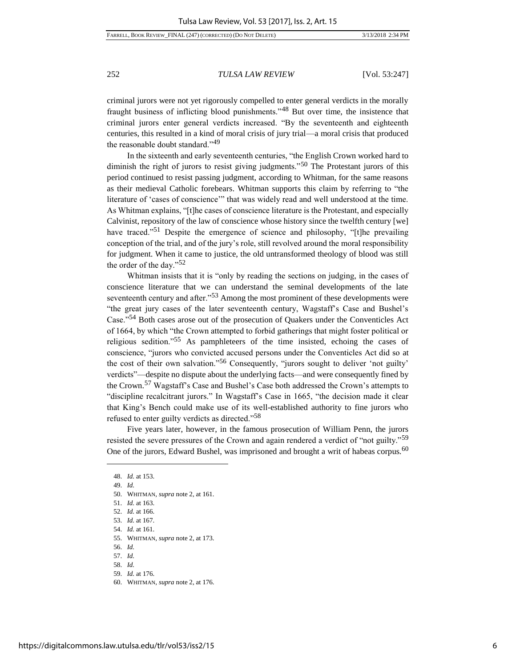criminal jurors were not yet rigorously compelled to enter general verdicts in the morally fraught business of inflicting blood punishments."<sup>48</sup> But over time, the insistence that criminal jurors enter general verdicts increased. "By the seventeenth and eighteenth centuries, this resulted in a kind of moral crisis of jury trial—a moral crisis that produced the reasonable doubt standard."<sup>49</sup>

In the sixteenth and early seventeenth centuries, "the English Crown worked hard to diminish the right of jurors to resist giving judgments."<sup>50</sup> The Protestant jurors of this period continued to resist passing judgment, according to Whitman, for the same reasons as their medieval Catholic forebears. Whitman supports this claim by referring to "the literature of 'cases of conscience'" that was widely read and well understood at the time. As Whitman explains, "[t]he cases of conscience literature is the Protestant, and especially Calvinist, repository of the law of conscience whose history since the twelfth century [we] have traced."<sup>51</sup> Despite the emergence of science and philosophy, "[t]he prevailing conception of the trial, and of the jury's role, still revolved around the moral responsibility for judgment. When it came to justice, the old untransformed theology of blood was still the order of the day."<sup>52</sup>

Whitman insists that it is "only by reading the sections on judging, in the cases of conscience literature that we can understand the seminal developments of the late seventeenth century and after."<sup>53</sup> Among the most prominent of these developments were "the great jury cases of the later seventeenth century, Wagstaff's Case and Bushel's Case."<sup>54</sup> Both cases arose out of the prosecution of Quakers under the Conventicles Act of 1664, by which "the Crown attempted to forbid gatherings that might foster political or religious sedition."<sup>55</sup> As pamphleteers of the time insisted, echoing the cases of conscience, "jurors who convicted accused persons under the Conventicles Act did so at the cost of their own salvation."<sup>56</sup> Consequently, "jurors sought to deliver 'not guilty' verdicts"—despite no dispute about the underlying facts—and were consequently fined by the Crown.<sup>57</sup> Wagstaff's Case and Bushel's Case both addressed the Crown's attempts to "discipline recalcitrant jurors." In Wagstaff's Case in 1665, "the decision made it clear that King's Bench could make use of its well-established authority to fine jurors who refused to enter guilty verdicts as directed."<sup>58</sup>

Five years later, however, in the famous prosecution of William Penn, the jurors resisted the severe pressures of the Crown and again rendered a verdict of "not guilty."<sup>59</sup> One of the jurors, Edward Bushel, was imprisoned and brought a writ of habeas corpus.<sup>60</sup>

l

54. *Id.* at 161.

- 56. *Id.*
- 57. *Id.*

<sup>48.</sup> *Id.* at 153.

<sup>49.</sup> *Id.*

<sup>50.</sup> WHITMAN, *supra* note 2, at 161.

<sup>51.</sup> *Id.* at 163.

<sup>52.</sup> *Id.* at 166.

<sup>53.</sup> *Id.* at 167.

<sup>55.</sup> WHITMAN, *supra* note 2, at 173.

<sup>58.</sup> *Id.*

<sup>59.</sup> *Id.* at 176.

<sup>60.</sup> WHITMAN, *supra* note 2, at 176.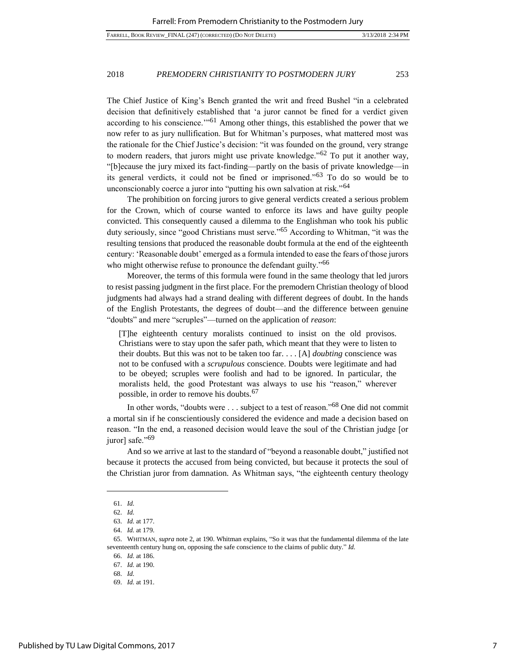The Chief Justice of King's Bench granted the writ and freed Bushel "in a celebrated decision that definitively established that 'a juror cannot be fined for a verdict given according to his conscience.'"<sup>61</sup> Among other things, this established the power that we now refer to as jury nullification. But for Whitman's purposes, what mattered most was the rationale for the Chief Justice's decision: "it was founded on the ground, very strange to modern readers, that jurors might use private knowledge."<sup>62</sup> To put it another way, "[b]ecause the jury mixed its fact-finding—partly on the basis of private knowledge—in its general verdicts, it could not be fined or imprisoned."<sup>63</sup> To do so would be to unconscionably coerce a juror into "putting his own salvation at risk."<sup>64</sup>

The prohibition on forcing jurors to give general verdicts created a serious problem for the Crown, which of course wanted to enforce its laws and have guilty people convicted. This consequently caused a dilemma to the Englishman who took his public duty seriously, since "good Christians must serve."<sup>65</sup> According to Whitman, "it was the resulting tensions that produced the reasonable doubt formula at the end of the eighteenth century: 'Reasonable doubt' emerged as a formula intended to ease the fears of those jurors who might otherwise refuse to pronounce the defendant guilty.<sup>"66</sup>

Moreover, the terms of this formula were found in the same theology that led jurors to resist passing judgment in the first place. For the premodern Christian theology of blood judgments had always had a strand dealing with different degrees of doubt. In the hands of the English Protestants, the degrees of doubt—and the difference between genuine "doubts" and mere "scruples"—turned on the application of *reason*:

[T]he eighteenth century moralists continued to insist on the old provisos. Christians were to stay upon the safer path, which meant that they were to listen to their doubts. But this was not to be taken too far. . . . [A] *doubting* conscience was not to be confused with a *scrupulous* conscience. Doubts were legitimate and had to be obeyed; scruples were foolish and had to be ignored. In particular, the moralists held, the good Protestant was always to use his "reason," wherever possible, in order to remove his doubts.<sup>67</sup>

In other words, "doubts were . . . subject to a test of reason."<sup>68</sup> One did not commit a mortal sin if he conscientiously considered the evidence and made a decision based on reason. "In the end, a reasoned decision would leave the soul of the Christian judge [or juror] safe."<sup>69</sup>

And so we arrive at last to the standard of "beyond a reasonable doubt," justified not because it protects the accused from being convicted, but because it protects the soul of the Christian juror from damnation. As Whitman says, "the eighteenth century theology

<sup>61.</sup> *Id.*

<sup>62.</sup> *Id.*

<sup>63.</sup> *Id.* at 177.

<sup>64.</sup> *Id.* at 179.

<sup>65.</sup> WHITMAN, *supra* note 2, at 190. Whitman explains, "So it was that the fundamental dilemma of the late seventeenth century hung on, opposing the safe conscience to the claims of public duty." *Id.*

<sup>66.</sup> *Id.* at 186.

<sup>67.</sup> *Id.* at 190.

<sup>68.</sup> *Id.*

<sup>69.</sup> *Id.* at 191.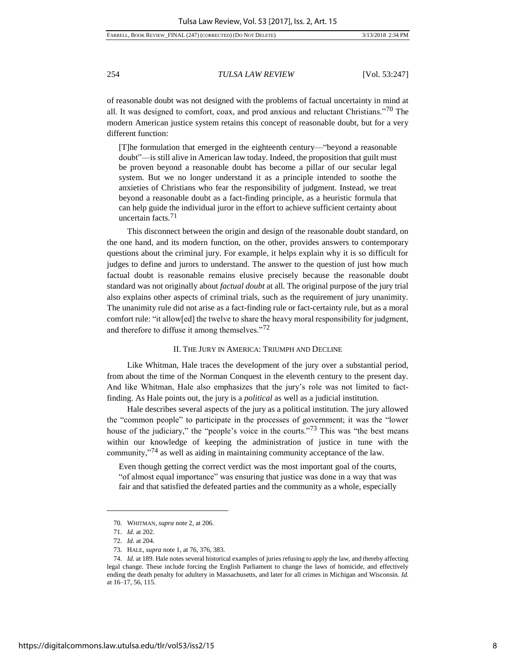FARRELL, BOOK REVIEW\_FINAL (247) (CORRECTED) (DO NOT DELETE) 3/13/2018 2:34 PM

254 *TULSA LAW REVIEW* [Vol. 53:247]

of reasonable doubt was not designed with the problems of factual uncertainty in mind at all. It was designed to comfort, coax, and prod anxious and reluctant Christians."<sup>70</sup> The modern American justice system retains this concept of reasonable doubt, but for a very different function:

[T]he formulation that emerged in the eighteenth century—"beyond a reasonable doubt"—is still alive in American law today. Indeed, the proposition that guilt must be proven beyond a reasonable doubt has become a pillar of our secular legal system. But we no longer understand it as a principle intended to soothe the anxieties of Christians who fear the responsibility of judgment. Instead, we treat beyond a reasonable doubt as a fact-finding principle, as a heuristic formula that can help guide the individual juror in the effort to achieve sufficient certainty about uncertain facts.<sup>71</sup>

This disconnect between the origin and design of the reasonable doubt standard, on the one hand, and its modern function, on the other, provides answers to contemporary questions about the criminal jury. For example, it helps explain why it is so difficult for judges to define and jurors to understand. The answer to the question of just how much factual doubt is reasonable remains elusive precisely because the reasonable doubt standard was not originally about *factual doubt* at all. The original purpose of the jury trial also explains other aspects of criminal trials, such as the requirement of jury unanimity. The unanimity rule did not arise as a fact-finding rule or fact-certainty rule, but as a moral comfort rule: "it allow[ed] the twelve to share the heavy moral responsibility for judgment, and therefore to diffuse it among themselves."<sup>72</sup>

#### II. THE JURY IN AMERICA: TRIUMPH AND DECLINE

Like Whitman, Hale traces the development of the jury over a substantial period, from about the time of the Norman Conquest in the eleventh century to the present day. And like Whitman, Hale also emphasizes that the jury's role was not limited to factfinding. As Hale points out, the jury is a *political* as well as a judicial institution.

Hale describes several aspects of the jury as a political institution. The jury allowed the "common people" to participate in the processes of government; it was the "lower house of the judiciary," the "people's voice in the courts."<sup>73</sup> This was "the best means within our knowledge of keeping the administration of justice in tune with the community,"<sup>74</sup> as well as aiding in maintaining community acceptance of the law.

Even though getting the correct verdict was the most important goal of the courts, "of almost equal importance" was ensuring that justice was done in a way that was fair and that satisfied the defeated parties and the community as a whole, especially

<sup>70.</sup> WHITMAN, *supra* note 2, at 206.

<sup>71.</sup> *Id.* at 202.

<sup>72.</sup> *Id.* at 204.

<sup>73.</sup> HALE, *supra* note 1, at 76, 376, 383.

<sup>74.</sup> *Id.* at 189. Hale notes several historical examples of juries refusing to apply the law, and thereby affecting legal change. These include forcing the English Parliament to change the laws of homicide, and effectively ending the death penalty for adultery in Massachusetts, and later for all crimes in Michigan and Wisconsin. *Id.*  at 16–17, 56, 115.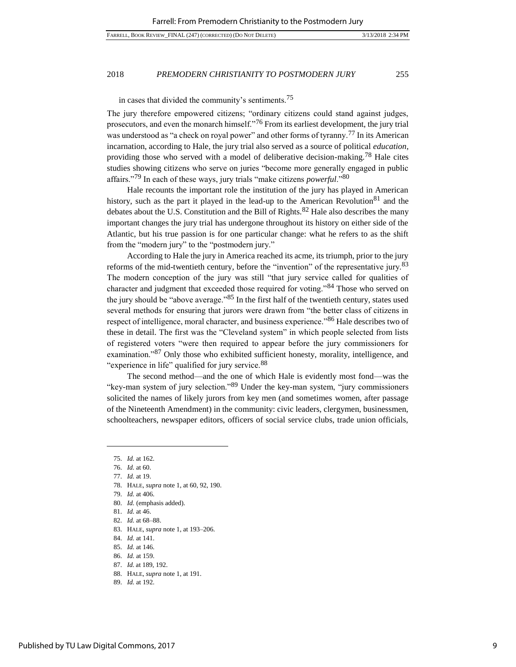in cases that divided the community's sentiments.<sup>75</sup>

The jury therefore empowered citizens; "ordinary citizens could stand against judges, prosecutors, and even the monarch himself.<sup> $276$ </sup> From its earliest development, the jury trial was understood as "a check on royal power" and other forms of tyranny.<sup>77</sup> In its American incarnation, according to Hale, the jury trial also served as a source of political *education*, providing those who served with a model of deliberative decision-making.<sup>78</sup> Hale cites studies showing citizens who serve on juries "become more generally engaged in public affairs."<sup>79</sup> In each of these ways, jury trials "make citizens *powerful*."<sup>80</sup>

Hale recounts the important role the institution of the jury has played in American history, such as the part it played in the lead-up to the American Revolution<sup>81</sup> and the debates about the U.S. Constitution and the Bill of Rights.<sup>82</sup> Hale also describes the many important changes the jury trial has undergone throughout its history on either side of the Atlantic, but his true passion is for one particular change: what he refers to as the shift from the "modern jury" to the "postmodern jury."

According to Hale the jury in America reached its acme, its triumph, prior to the jury reforms of the mid-twentieth century, before the "invention" of the representative jury.<sup>83</sup> The modern conception of the jury was still "that jury service called for qualities of character and judgment that exceeded those required for voting."<sup>84</sup> Those who served on the jury should be "above average."<sup>85</sup> In the first half of the twentieth century, states used several methods for ensuring that jurors were drawn from "the better class of citizens in respect of intelligence, moral character, and business experience."<sup>86</sup> Hale describes two of these in detail. The first was the "Cleveland system" in which people selected from lists of registered voters "were then required to appear before the jury commissioners for examination."<sup>87</sup> Only those who exhibited sufficient honesty, morality, intelligence, and "experience in life" qualified for jury service.<sup>88</sup>

The second method—and the one of which Hale is evidently most fond—was the "key-man system of jury selection."<sup>89</sup> Under the key-man system, "jury commissioners solicited the names of likely jurors from key men (and sometimes women, after passage of the Nineteenth Amendment) in the community: civic leaders, clergymen, businessmen, schoolteachers, newspaper editors, officers of social service clubs, trade union officials,

l

78. HALE, *supra* note 1, at 60, 92, 190.

84. *Id.* at 141.

- 86. *Id.* at 159.
- 87. *Id.* at 189, 192.
- 88. HALE, *supra* note 1, at 191.
- 89. *Id.* at 192.

<sup>75.</sup> *Id.* at 162.

<sup>76.</sup> *Id.* at 60.

<sup>77.</sup> *Id.* at 19.

<sup>79.</sup> *Id.* at 406.

<sup>80.</sup> *Id.* (emphasis added).

<sup>81.</sup> *Id.* at 46.

<sup>82.</sup> *Id.* at 68–88.

<sup>83.</sup> HALE, *supra* note 1, at 193–206.

<sup>85.</sup> *Id.* at 146.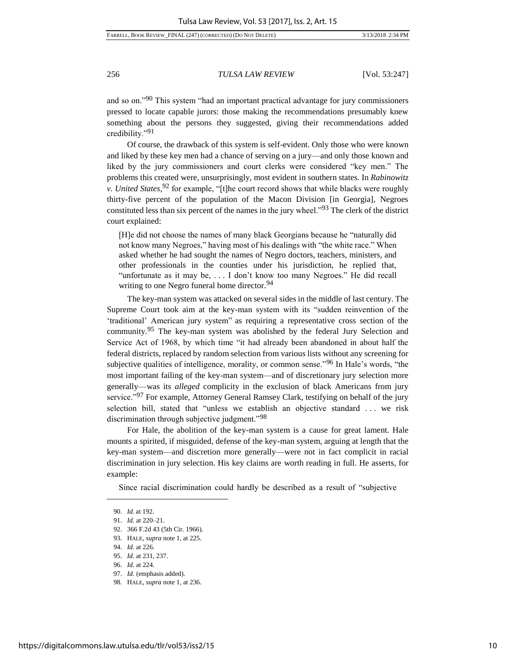FARRELL, BOOK REVIEW\_FINAL (247) (CORRECTED) (DO NOT DELETE) 3/13/2018 2:34 PM

256 *TULSA LAW REVIEW* [Vol. 53:247]

and so on."<sup>90</sup> This system "had an important practical advantage for jury commissioners pressed to locate capable jurors: those making the recommendations presumably knew something about the persons they suggested, giving their recommendations added credibility."<sup>91</sup>

Of course, the drawback of this system is self-evident. Only those who were known and liked by these key men had a chance of serving on a jury—and only those known and liked by the jury commissioners and court clerks were considered "key men." The problems this created were, unsurprisingly, most evident in southern states. In *Rabinowitz v. United States*, <sup>92</sup> for example, "[t]he court record shows that while blacks were roughly thirty-five percent of the population of the Macon Division [in Georgia], Negroes constituted less than six percent of the names in the jury wheel."<sup>93</sup> The clerk of the district court explained:

[H]e did not choose the names of many black Georgians because he "naturally did not know many Negroes," having most of his dealings with "the white race." When asked whether he had sought the names of Negro doctors, teachers, ministers, and other professionals in the counties under his jurisdiction, he replied that, "unfortunate as it may be, . . . I don't know too many Negroes." He did recall writing to one Negro funeral home director.<sup>94</sup>

The key-man system was attacked on several sides in the middle of last century. The Supreme Court took aim at the key-man system with its "sudden reinvention of the 'traditional' American jury system" as requiring a representative cross section of the community.<sup>95</sup> The key-man system was abolished by the federal Jury Selection and Service Act of 1968, by which time "it had already been abandoned in about half the federal districts, replaced by random selection from various lists without any screening for subjective qualities of intelligence, morality, or common sense.<sup>"96</sup> In Hale's words, "the most important failing of the key-man system—and of discretionary jury selection more generally—was its *alleged* complicity in the exclusion of black Americans from jury service."<sup>97</sup> For example, Attorney General Ramsey Clark, testifying on behalf of the jury selection bill, stated that "unless we establish an objective standard . . . we risk discrimination through subjective judgment."<sup>98</sup>

For Hale, the abolition of the key-man system is a cause for great lament. Hale mounts a spirited, if misguided, defense of the key-man system, arguing at length that the key-man system—and discretion more generally—were not in fact complicit in racial discrimination in jury selection. His key claims are worth reading in full. He asserts, for example:

Since racial discrimination could hardly be described as a result of "subjective

<sup>90.</sup> *Id.* at 192.

<sup>91.</sup> *Id.* at 220–21.

<sup>92.</sup> 366 F.2d 43 (5th Cir. 1966).

<sup>93.</sup> HALE, *supra* note 1, at 225.

<sup>94.</sup> *Id.* at 226.

<sup>95.</sup> *Id.* at 231, 237.

<sup>96.</sup> *Id.* at 224.

<sup>97.</sup> *Id.* (emphasis added).

<sup>98.</sup> HALE, *supra* note 1, at 236.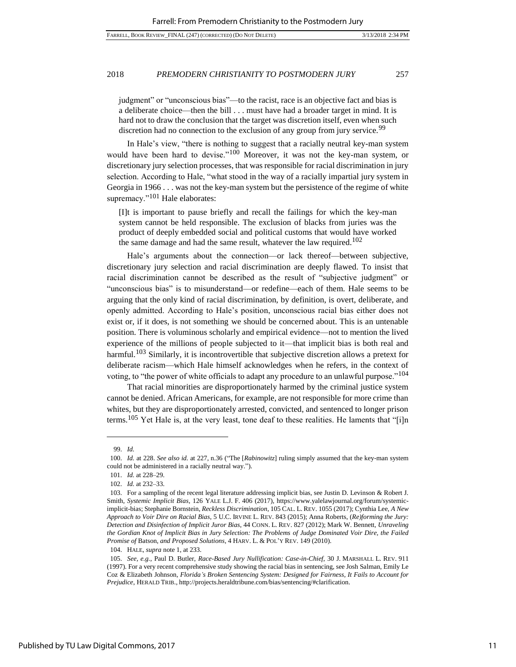judgment" or "unconscious bias"—to the racist, race is an objective fact and bias is a deliberate choice—then the bill . . . must have had a broader target in mind. It is hard not to draw the conclusion that the target was discretion itself, even when such discretion had no connection to the exclusion of any group from jury service.<sup>99</sup>

In Hale's view, "there is nothing to suggest that a racially neutral key-man system would have been hard to devise."<sup>100</sup> Moreover, it was not the key-man system, or discretionary jury selection processes, that was responsible for racial discrimination in jury selection. According to Hale, "what stood in the way of a racially impartial jury system in Georgia in 1966 . . . was not the key-man system but the persistence of the regime of white supremacy."<sup>101</sup> Hale elaborates:

[I]t is important to pause briefly and recall the failings for which the key-man system cannot be held responsible. The exclusion of blacks from juries was the product of deeply embedded social and political customs that would have worked the same damage and had the same result, whatever the law required.<sup>102</sup>

Hale's arguments about the connection—or lack thereof—between subjective, discretionary jury selection and racial discrimination are deeply flawed. To insist that racial discrimination cannot be described as the result of "subjective judgment" or "unconscious bias" is to misunderstand—or redefine—each of them. Hale seems to be arguing that the only kind of racial discrimination, by definition, is overt, deliberate, and openly admitted. According to Hale's position, unconscious racial bias either does not exist or, if it does, is not something we should be concerned about. This is an untenable position. There is voluminous scholarly and empirical evidence—not to mention the lived experience of the millions of people subjected to it—that implicit bias is both real and harmful.<sup>103</sup> Similarly, it is incontrovertible that subjective discretion allows a pretext for deliberate racism—which Hale himself acknowledges when he refers, in the context of voting, to "the power of white officials to adapt any procedure to an unlawful purpose."<sup>104</sup>

That racial minorities are disproportionately harmed by the criminal justice system cannot be denied. African Americans, for example, are not responsible for more crime than whites, but they are disproportionately arrested, convicted, and sentenced to longer prison terms.<sup>105</sup> Yet Hale is, at the very least, tone deaf to these realities. He laments that "[i]n

<sup>99.</sup> *Id.*

<sup>100.</sup> *Id.* at 228. *See also id.* at 227, n.36 ("The [*Rabinowitz*] ruling simply assumed that the key-man system could not be administered in a racially neutral way.").

<sup>101.</sup> *Id.* at 228–29.

<sup>102.</sup> *Id.* at 232–33.

<sup>103.</sup> For a sampling of the recent legal literature addressing implicit bias, see Justin D. Levinson & Robert J. Smith, *Systemic Implicit Bias*, 126 YALE L.J. F. 406 (2017), https://www.yalelawjournal.org/forum/systemicimplicit-bias; Stephanie Bornstein, *Reckless Discrimination*, 105 CAL. L. REV. 1055 (2017); Cynthia Lee, *A New Approach to Voir Dire on Racial Bias*, 5 U.C. IRVINE L. REV. 843 (2015); Anna Roberts, (*Re)forming the Jury: Detection and Disinfection of Implicit Juror Bias*, 44 CONN. L. REV. 827 (2012); Mark W. Bennett, *Unraveling the Gordian Knot of Implicit Bias in Jury Selection: The Problems of Judge Dominated Voir Dire, the Failed Promise of* Batson*, and Proposed Solutions*, 4 HARV. L. & POL'Y REV. 149 (2010).

<sup>104.</sup> HALE, *supra* note 1, at 233.

<sup>105.</sup> *See, e.g.*, Paul D. Butler, *Race-Based Jury Nullification: Case-in-Chief*, 30 J. MARSHALL L. REV. 911 (1997). For a very recent comprehensive study showing the racial bias in sentencing, see Josh Salman, Emily Le Coz & Elizabeth Johnson, *Florida's Broken Sentencing System: Designed for Fairness, It Fails to Account for Prejudice*, HERALD TRIB., http://projects.heraldtribune.com/bias/sentencing/#clarification.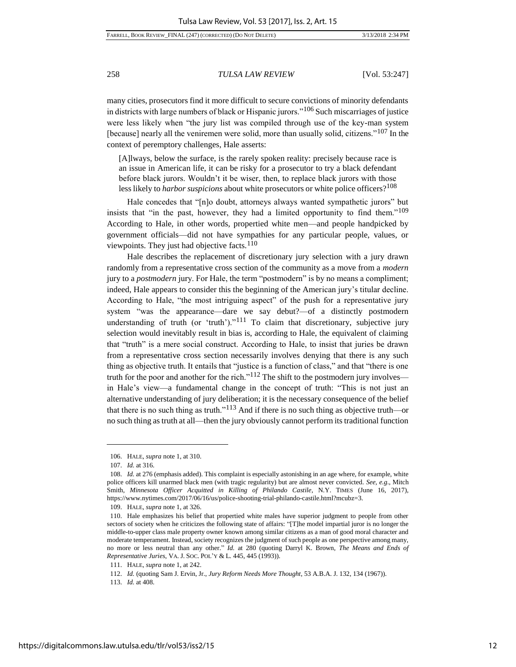many cities, prosecutors find it more difficult to secure convictions of minority defendants in districts with large numbers of black or Hispanic jurors."<sup>106</sup> Such miscarriages of justice were less likely when "the jury list was compiled through use of the key-man system [because] nearly all the veniremen were solid, more than usually solid, citizens."<sup>107</sup> In the context of peremptory challenges, Hale asserts:

[A]lways, below the surface, is the rarely spoken reality: precisely because race is an issue in American life, it can be risky for a prosecutor to try a black defendant before black jurors. Wouldn't it be wiser, then, to replace black jurors with those less likely to *harbor suspicions* about white prosecutors or white police officers?<sup>108</sup>

Hale concedes that "[n]o doubt, attorneys always wanted sympathetic jurors" but insists that "in the past, however, they had a limited opportunity to find them."<sup>109</sup> According to Hale, in other words, propertied white men—and people handpicked by government officials—did not have sympathies for any particular people, values, or viewpoints. They just had objective facts. $110$ 

Hale describes the replacement of discretionary jury selection with a jury drawn randomly from a representative cross section of the community as a move from a *modern* jury to a *postmodern* jury. For Hale, the term "postmodern" is by no means a compliment; indeed, Hale appears to consider this the beginning of the American jury's titular decline. According to Hale, "the most intriguing aspect" of the push for a representative jury system "was the appearance—dare we say debut?—of a distinctly postmodern understanding of truth (or 'truth')."<sup>111</sup> To claim that discretionary, subjective jury selection would inevitably result in bias is, according to Hale, the equivalent of claiming that "truth" is a mere social construct. According to Hale, to insist that juries be drawn from a representative cross section necessarily involves denying that there is any such thing as objective truth. It entails that "justice is a function of class," and that "there is one truth for the poor and another for the rich."<sup>112</sup> The shift to the postmodern jury involves in Hale's view—a fundamental change in the concept of truth: "This is not just an alternative understanding of jury deliberation; it is the necessary consequence of the belief that there is no such thing as truth."<sup>113</sup> And if there is no such thing as objective truth—or no such thing as truth at all—then the jury obviously cannot perform its traditional function

<sup>106.</sup> HALE, *supra* note 1, at 310.

<sup>107.</sup> *Id.* at 316.

<sup>108.</sup> *Id.* at 276 (emphasis added). This complaint is especially astonishing in an age where, for example, white police officers kill unarmed black men (with tragic regularity) but are almost never convicted. *See, e.g*., Mitch Smith, *Minnesota Officer Acquitted in Killing of Philando Castile*, N.Y. TIMES (June 16, 2017), https://www.nytimes.com/2017/06/16/us/police-shooting-trial-philando-castile.html?mcubz=3.

<sup>109.</sup> HALE, *supra* note 1, at 326.

<sup>110.</sup> Hale emphasizes his belief that propertied white males have superior judgment to people from other sectors of society when he criticizes the following state of affairs: "[T]he model impartial juror is no longer the middle-to-upper class male property owner known among similar citizens as a man of good moral character and moderate temperament. Instead, society recognizes the judgment of such people as one perspective among many, no more or less neutral than any other." *Id.* at 280 (quoting Darryl K. Brown, *The Means and Ends of Representative Juries*, VA. J. SOC. POL'Y & L. 445, 445 (1993)).

<sup>111.</sup> HALE, *supra* note 1, at 242.

<sup>112.</sup> *Id.* (quoting Sam J. Ervin, Jr., *Jury Reform Needs More Thought*, 53 A.B.A. J. 132, 134 (1967)).

<sup>113.</sup> *Id.* at 408.